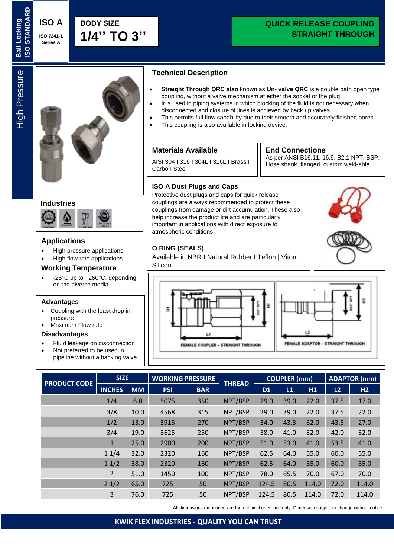# **QUICK RELEASE COUPLING STRAIGHT THROUGH**

**Ball Locking** 

**SO STANDARD Ball Locking** 



#### **Applications**

- High pressure applications
- High flow rate applications

#### **Working Temperature**

• -25°C up to +260°C, depending on the diverse media

#### **Advantages**

- Coupling with the least drop in pressure
- Maximum Flow rate

#### **Disadvantages**

- Fluid leakage on disconnection
- Not preferred to be used in pipeline without a backing valve

## **Technical Description**

- **Straight Through QRC also** known as **Un- valve QRC** is a double path open type coupling, without a valve mechanism at either the socket or the plug.
- It is used in piping systems in which blocking of the fluid is not necessary when disconnected and closure of lines is achieved by back up valves.
- This permits full flow capability due to their smooth and accurately finished bores.
- This coupling is also available in locking device.

help increase the product life and are particularly important in applications with direct exposure to

Available in NBR I Natural Rubber I Teflon | Viton |

#### **Materials Available**

atmospheric conditions.

**O RING (SEALS)** 

Silicon

AISI 304 I 316 I 304L I 316L I Brass I Carbon Steel

#### **End Connections**

As per ANSI B16.11, 16.9, B2.1 NPT, BSP. Hose shank, flanged, custom weld-able.





| <b>PRODUCT CODE</b> | <b>SIZE</b>    |           | <b>WORKING PRESSURE</b> |            | <b>THREAD</b> | <b>COUPLER</b> (mm) |      |       | <b>ADAPTOR</b> (mm) |       |
|---------------------|----------------|-----------|-------------------------|------------|---------------|---------------------|------|-------|---------------------|-------|
|                     | <b>INCHES</b>  | <b>MM</b> | <b>PSI</b>              | <b>BAR</b> |               | D <sub>1</sub>      | L1   | H1    | L2                  | H2    |
|                     | 1/4            | 6.0       | 5075                    | 350        | NPT/BSP       | 29.0                | 39.0 | 22.0  | 37.5                | 17.0  |
|                     | 3/8            | 10.0      | 4568                    | 315        | NPT/BSP       | 29.0                | 39.0 | 22.0  | 37.5                | 22.0  |
|                     | 1/2            | 13.0      | 3915                    | 270        | NPT/BSP       | 34.0                | 43.3 | 32.0  | 43.5                | 27.0  |
|                     | 3/4            | 19.0      | 3625                    | 250        | NPT/BSP       | 38.0                | 41.0 | 32.0  | 42.0                | 32.0  |
|                     | $\mathbf{1}$   | 25.0      | 2900                    | 200        | NPT/BSP       | 51.0                | 53.0 | 41.0  | 53.5                | 41.0  |
|                     | 11/4           | 32.0      | 2320                    | 160        | NPT/BSP       | 62.5                | 64.0 | 55.0  | 60.0                | 55.0  |
|                     | 11/2           | 38.0      | 2320                    | 160        | NPT/BSP       | 62.5                | 64.0 | 55.0  | 60.0                | 55.0  |
|                     | $\overline{2}$ | 51.0      | 1450                    | 100        | NPT/BSP       | 78.0                | 65.5 | 70.0  | 67.0                | 70.0  |
|                     | 21/2           | 65.0      | 725                     | 50         | NPT/BSP       | 124.5               | 80.5 | 114.0 | 72.0                | 114.0 |
|                     | 3              | 76.0      | 725                     | 50         | NPT/BSP       | 124.5               | 80.5 | 114.0 | 72.0                | 114.0 |

All dimensions mentioned are for technical reference only. Dimension subject to change without notice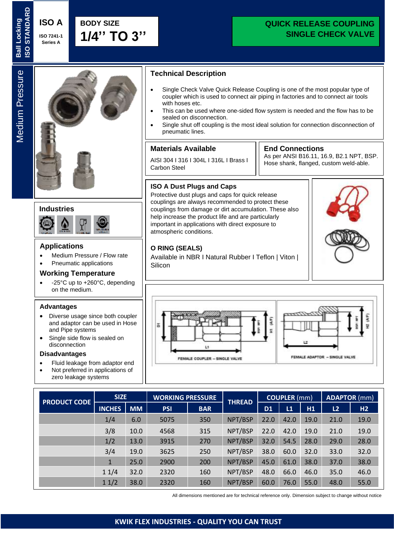# **QUICK RELEASE COUPLING SINGLE CHECK VALVE**

# Medium Pressure **Medium Pressure**

**Ball Locking** 

**Ball Locking** 



# **Industries**



#### **Applications**

- Medium Pressure / Flow rate
- Pneumatic applications

#### **Working Temperature**

• -25°C up to +260°C, depending on the medium.

#### **Advantages**

- Diverse usage since both coupler and adaptor can be used in Hose and Pipe systems
- Single side flow is sealed on disconnection

#### **Disadvantages**

- Fluid leakage from adaptor end
- Not preferred in applications of zero leakage systems

# **Technical Description**

- Single Check Valve Quick Release Coupling is one of the most popular type of coupler which is used to connect air piping in factories and to connect air tools with hoses etc.
- This can be used where one-sided flow system is needed and the flow has to be sealed on disconnection.
- Single shut off coupling is the most ideal solution for connection disconnection of pneumatic lines.

### **Materials Available**

AISI 304 I 316 I 304L I 316L I Brass I Carbon Steel

# **End Connections**

As per ANSI B16.11, 16.9, B2.1 NPT, BSP. Hose shank, flanged, custom weld-able.

### **ISO A Dust Plugs and Caps**

Protective dust plugs and caps for quick release couplings are always recommended to protect these couplings from damage or dirt accumulation. These also help increase the product life and are particularly important in applications with direct exposure to atmospheric conditions.

#### **O RING (SEALS)**

Available in NBR I Natural Rubber I Teflon | Viton | Silicon



| <b>PRODUCT CODE</b> | <b>SIZE</b>   |           | <b>WORKING PRESSURE</b> |            | <b>THREAD</b> | <b>COUPLER</b> (mm) |      |      | <b>ADAPTOR</b> (mm) |      |
|---------------------|---------------|-----------|-------------------------|------------|---------------|---------------------|------|------|---------------------|------|
|                     | <b>INCHES</b> | <b>MM</b> | <b>PSI</b>              | <b>BAR</b> |               | D <sub>1</sub>      | L1   | H1   | L2                  | H2   |
|                     | 1/4           | 6.0       | 5075                    | 350        | NPT/BSP       | 22.0                | 42.0 | 19.0 | 21.0                | 19.0 |
|                     | 3/8           | 10.0      | 4568                    | 315        | NPT/BSP       | 22.0                | 42.0 | 19.0 | 21.0                | 19.0 |
|                     | 1/2           | 13.0      | 3915                    | 270        | NPT/BSP       | 32.0                | 54.5 | 28.0 | 29.0                | 28.0 |
|                     | 3/4           | 19.0      | 3625                    | 250        | NPT/BSP       | 38.0                | 60.0 | 32.0 | 33.0                | 32.0 |
|                     | $\mathbf{1}$  | 25.0      | 2900                    | 200        | NPT/BSP       | 45.0                | 61.0 | 38.0 | 37.0                | 38.0 |
|                     | 11/4          | 32.0      | 2320                    | 160        | NPT/BSP       | 48.0                | 66.0 | 46.0 | 35.0                | 46.0 |
|                     | 11/2          | 38.0      | 2320                    | 160        | NPT/BSP       | 60.0                | 76.0 | 55.0 | 48.0                | 55.0 |

All dimensions mentioned are for technical reference only. Dimension subject to change without notice

# **KWIK FLEX INDUSTRIES - QUALITY YOU CAN TRUST**